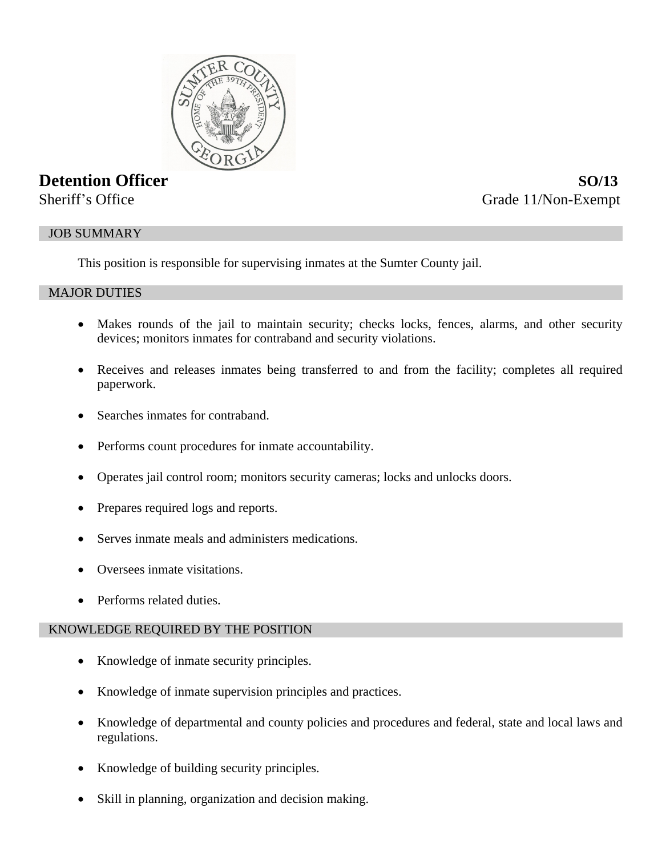

# **Detention Officer SO/13**

Sheriff's Office Grade 11/Non-Exempt

## JOB SUMMARY

This position is responsible for supervising inmates at the Sumter County jail.

## MAJOR DUTIES

- Makes rounds of the jail to maintain security; checks locks, fences, alarms, and other security devices; monitors inmates for contraband and security violations.
- Receives and releases inmates being transferred to and from the facility; completes all required paperwork.
- Searches inmates for contraband.
- Performs count procedures for inmate accountability.
- Operates jail control room; monitors security cameras; locks and unlocks doors.
- Prepares required logs and reports.
- Serves inmate meals and administers medications.
- Oversees inmate visitations.
- Performs related duties.

## KNOWLEDGE REQUIRED BY THE POSITION

- Knowledge of inmate security principles.
- Knowledge of inmate supervision principles and practices.
- Knowledge of departmental and county policies and procedures and federal, state and local laws and regulations.
- Knowledge of building security principles.
- Skill in planning, organization and decision making.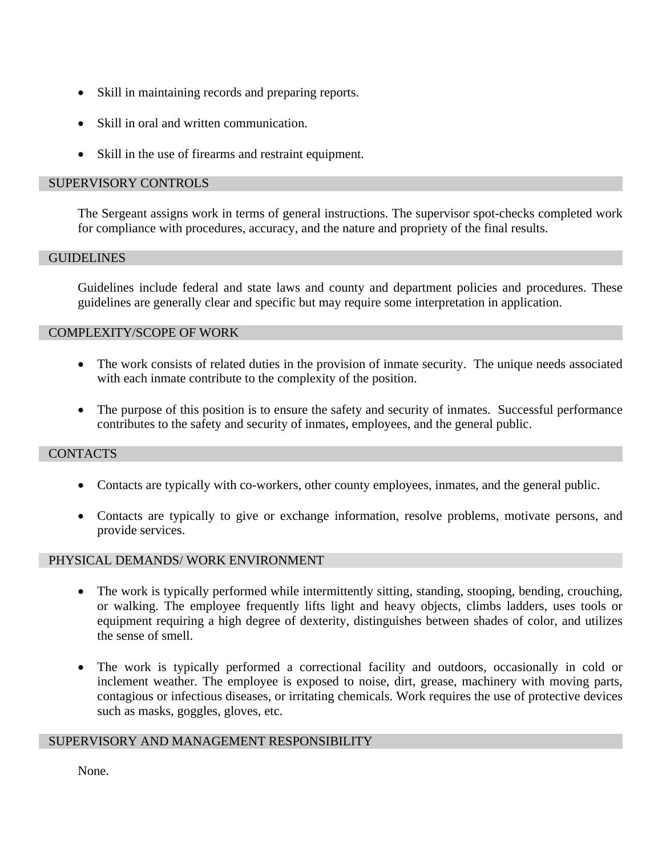- Skill in maintaining records and preparing reports.
- Skill in oral and written communication.
- Skill in the use of firearms and restraint equipment.

## SUPERVISORY CONTROLS

The Sergeant assigns work in terms of general instructions. The supervisor spot-checks completed work for compliance with procedures, accuracy, and the nature and propriety of the final results.

#### **GUIDELINES**

Guidelines include federal and state laws and county and department policies and procedures. These guidelines are generally clear and specific but may require some interpretation in application.

## COMPLEXITY/SCOPE OF WORK

- The work consists of related duties in the provision of inmate security. The unique needs associated with each inmate contribute to the complexity of the position.
- The purpose of this position is to ensure the safety and security of inmates. Successful performance contributes to the safety and security of inmates, employees, and the general public.

## **CONTACTS**

- Contacts are typically with co-workers, other county employees, inmates, and the general public.
- Contacts are typically to give or exchange information, resolve problems, motivate persons, and provide services.

## PHYSICAL DEMANDS/ WORK ENVIRONMENT

- The work is typically performed while intermittently sitting, standing, stooping, bending, crouching, or walking. The employee frequently lifts light and heavy objects, climbs ladders, uses tools or equipment requiring a high degree of dexterity, distinguishes between shades of color, and utilizes the sense of smell.
- The work is typically performed a correctional facility and outdoors, occasionally in cold or inclement weather. The employee is exposed to noise, dirt, grease, machinery with moving parts, contagious or infectious diseases, or irritating chemicals. Work requires the use of protective devices such as masks, goggles, gloves, etc.

## SUPERVISORY AND MANAGEMENT RESPONSIBILITY

None.